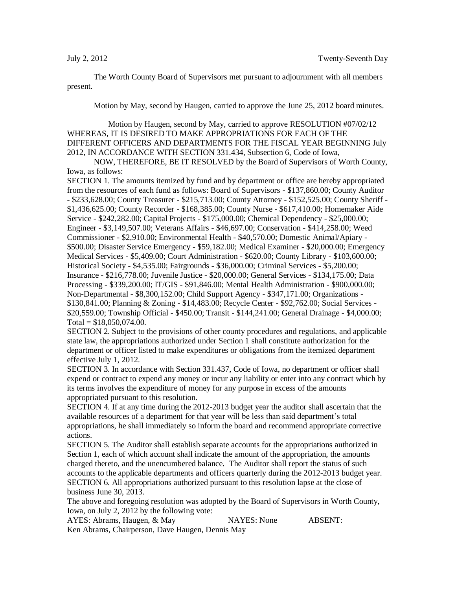The Worth County Board of Supervisors met pursuant to adjournment with all members present.

Motion by May, second by Haugen, carried to approve the June 25, 2012 board minutes.

Motion by Haugen, second by May, carried to approve RESOLUTION #07/02/12 WHEREAS, IT IS DESIRED TO MAKE APPROPRIATIONS FOR EACH OF THE DIFFERENT OFFICERS AND DEPARTMENTS FOR THE FISCAL YEAR BEGINNING July 2012, IN ACCORDANCE WITH SECTION 331.434, Subsection 6, Code of Iowa,

NOW, THEREFORE, BE IT RESOLVED by the Board of Supervisors of Worth County, Iowa, as follows:

SECTION 1. The amounts itemized by fund and by department or office are hereby appropriated from the resources of each fund as follows: Board of Supervisors - \$137,860.00; County Auditor - \$233,628.00; County Treasurer - \$215,713.00; County Attorney - \$152,525.00; County Sheriff - \$1,436,625.00; County Recorder - \$168,385.00; County Nurse - \$617,410.00; Homemaker Aide Service - \$242,282.00; Capital Projects - \$175,000.00; Chemical Dependency - \$25,000.00; Engineer - \$3,149,507.00; Veterans Affairs - \$46,697.00; Conservation - \$414,258.00; Weed Commissioner - \$2,910.00; Environmental Health - \$40,570.00; Domestic Animal/Apiary - \$500.00; Disaster Service Emergency - \$59,182.00; Medical Examiner - \$20,000.00; Emergency Medical Services - \$5,409.00; Court Administration - \$620.00; County Library - \$103,600.00; Historical Society - \$4,535.00; Fairgrounds - \$36,000.00; Criminal Services - \$5,200.00; Insurance - \$216,778.00; Juvenile Justice - \$20,000.00; General Services - \$134,175.00; Data Processing - \$339,200.00; IT/GIS - \$91,846.00; Mental Health Administration - \$900,000.00; Non-Departmental - \$8,300,152.00; Child Support Agency - \$347,171.00; Organizations - \$130,841.00; Planning & Zoning - \$14,483.00; Recycle Center - \$92,762.00; Social Services - \$20,559.00; Township Official - \$450.00; Transit - \$144,241.00; General Drainage - \$4,000.00;  $Total = $18,050,074.00.$ 

SECTION 2. Subject to the provisions of other county procedures and regulations, and applicable state law, the appropriations authorized under Section 1 shall constitute authorization for the department or officer listed to make expenditures or obligations from the itemized department effective July 1, 2012.

SECTION 3. In accordance with Section 331.437, Code of Iowa, no department or officer shall expend or contract to expend any money or incur any liability or enter into any contract which by its terms involves the expenditure of money for any purpose in excess of the amounts appropriated pursuant to this resolution.

SECTION 4. If at any time during the 2012-2013 budget year the auditor shall ascertain that the available resources of a department for that year will be less than said department's total appropriations, he shall immediately so inform the board and recommend appropriate corrective actions.

SECTION 5. The Auditor shall establish separate accounts for the appropriations authorized in Section 1, each of which account shall indicate the amount of the appropriation, the amounts charged thereto, and the unencumbered balance. The Auditor shall report the status of such accounts to the applicable departments and officers quarterly during the 2012-2013 budget year. SECTION 6. All appropriations authorized pursuant to this resolution lapse at the close of business June 30, 2013.

The above and foregoing resolution was adopted by the Board of Supervisors in Worth County, Iowa, on July 2, 2012 by the following vote:

AYES: Abrams, Haugen, & May NAYES: None ABSENT: Ken Abrams, Chairperson, Dave Haugen, Dennis May